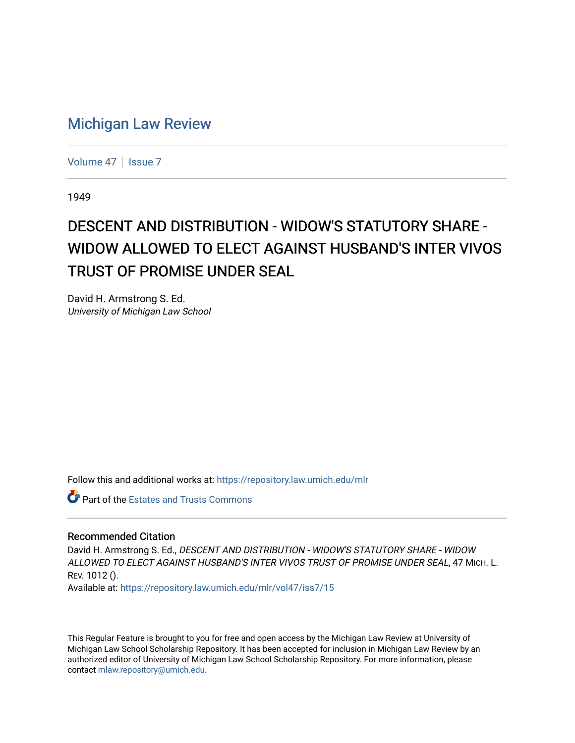## [Michigan Law Review](https://repository.law.umich.edu/mlr)

[Volume 47](https://repository.law.umich.edu/mlr/vol47) | [Issue 7](https://repository.law.umich.edu/mlr/vol47/iss7)

1949

## DESCENT AND DISTRIBUTION - WIDOW'S STATUTORY SHARE -WIDOW ALLOWED TO ELECT AGAINST HUSBAND'S INTER VIVOS TRUST OF PROMISE UNDER SEAL

David H. Armstrong S. Ed. University of Michigan Law School

Follow this and additional works at: [https://repository.law.umich.edu/mlr](https://repository.law.umich.edu/mlr?utm_source=repository.law.umich.edu%2Fmlr%2Fvol47%2Fiss7%2F15&utm_medium=PDF&utm_campaign=PDFCoverPages) 

Part of the [Estates and Trusts Commons](http://network.bepress.com/hgg/discipline/906?utm_source=repository.law.umich.edu%2Fmlr%2Fvol47%2Fiss7%2F15&utm_medium=PDF&utm_campaign=PDFCoverPages) 

## Recommended Citation

David H. Armstrong S. Ed., DESCENT AND DISTRIBUTION - WIDOW'S STATUTORY SHARE - WIDOW ALLOWED TO ELECT AGAINST HUSBAND'S INTER VIVOS TRUST OF PROMISE UNDER SEAL, 47 MICH. L. REV. 1012 ().

Available at: [https://repository.law.umich.edu/mlr/vol47/iss7/15](https://repository.law.umich.edu/mlr/vol47/iss7/15?utm_source=repository.law.umich.edu%2Fmlr%2Fvol47%2Fiss7%2F15&utm_medium=PDF&utm_campaign=PDFCoverPages) 

This Regular Feature is brought to you for free and open access by the Michigan Law Review at University of Michigan Law School Scholarship Repository. It has been accepted for inclusion in Michigan Law Review by an authorized editor of University of Michigan Law School Scholarship Repository. For more information, please contact [mlaw.repository@umich.edu](mailto:mlaw.repository@umich.edu).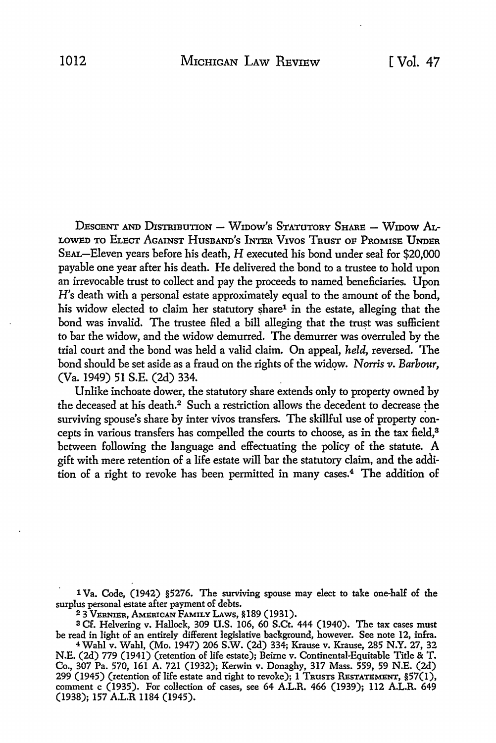DESCENT AND DISTRIBUTION - WIDOW'S STATUTORY SHARE - WIDOW AL-LOWED TO ELECT AGAINST HUSBAND'S INTER VIVOS TRUST OF PROMISE UNDER SEAL-Eleven years before his death, H executed his bond under seal for \$20,000 payable one year after his death. He delivered the bond to a trustee to hold upon an irrevocable trust to collect and pay the proceeds *to* named beneficiaries. Upon H's death with a personal estate approximately equal to the amount of the bond, his widow elected to claim her statutory share<sup>1</sup> in the estate, alleging that the bond was invalid. The trustee filed a bill alleging that the trust was sufficient to bar the widow, and the widow demurred. The demurrer was overruled by the trial court and the bond was held a valid claim. On appeal, *held,* reversed. The bond should be set aside as a fraud on the rights of the widow. *Norris v. Barbour*, (Va. 1949) 51 S.E. (2d) 334.

Unlike inchoate dower, the statutory share extends only to property owned by the deceased at his death.2 Such a restriction allows the decedent to decrease the surviving spouse's share by inter vivos transfers. The skillful use of property concepts in various transfers has compelled the courts to choose, as in the tax field,<sup>3</sup> between following the language and effectuating the policy of the statute. A gift with mere retention of a life estate will bar the statutory claim, and the addition of a right to revoke has been permitted in many cases.4 The addition of

1 Va. Code, (1942) §5276. The surviving spouse may elect to take one-half of the surplus personal estate after payment of debts.

<sup>2</sup>3 VERNIER, AMERICAN FAMILY LAWS, §189 (1931).

<sup>3</sup>Cf. Helvering v. Hallock, 309 U.S. 106, 60 S.Ct. 444 (1940). The tax cases must be read in light of an entirely different legislative background, however. See note 12, infra.

<sup>4</sup>Wahl v. Wahl, (Mo. 1947) 206 S.W. (2d) 334; Krause v. Krause, 285 N.Y. 27, 32 N.E. (2d) 779 (1941) (retention of life estate); Beirne v. Continental-Equitable Title & T. Co., 307 Pa. 570, 161 A. 721 (1932); Kerwin v. Donaghy, 317 Mass. 559, 59 N.E. (2d) 299 (1945) (retention of life estate and right to revoke); 1 TRUSTS RESTATEMENT, §57(1), comment c (1935). For collection of cases, see 64 A.L.R. 466 (1939); 112 A.L.R. 649 (1938); 157 A.L.R 1184 (1945).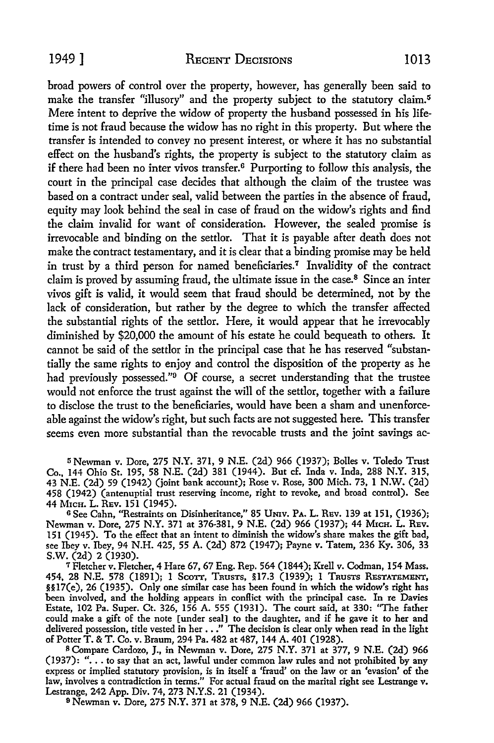broad powers of control over the property, however, has generally been said to make the transfer "illusory" and the property subject to the statutory claim.<sup>5</sup> Mere intent to deprive the widow of property the husband possessed in his lifetime is not fraud because the widow has no right in this property. But where the transfer is intended to convey no present interest, or where it has no substantial effect on the husband's rights, the property is subject to the statutory claim as if there had been no inter vivos transfer.<sup>6</sup> Purporting to follow this analysis, the court in the principal case decides that although the claim of the trustee was based on a contract under seal, valid between the parties in the absence of fraud, equity may look behind the seal in case of fraud on the widow's rights and find the claim invalid for want of consideration. However, the sealed promise is irrevocable and binding on the settlor. That it is payable after death does not make the contract testamentary, and it is clear that a binding promise may he held in trust by a third person for named beneficiaries.<sup>7</sup> Invalidity of the contract claim is proved by assuming fraud, the ultimate issue in the case. $8$  Since an inter vivos gift is valid, it would seem that fraud should he determined, not by the lack of consideration, hut rather by the degree to which the transfer affected the substantial rights of the settlor. Here, it would appear that he irrevocably diminished by \$20,000 the amount of his estate he could bequeath to others. It cannot he said of the settlor in the principal case that he has reserved "substantially the same rights to enjoy and control the disposition of the property as he had previously possessed."<sup>9</sup> Of course, a secret understanding that the trustee would not enforce the trust against the will of the settlor, together with a failure to disclose the trust to the beneficiaries, would have been a sham and unenforceable against the widow's right, hut such facts are not suggested here. This transfer seems even more substantial than the revocable trusts and the joint savings ac-

li Newman v. Dore, 275 N.Y. 371, 9 N.E. (2d) 966 (1937); Bolles v. Toledo Trust Co., 144 Ohio St. 195, 58 N.E. (2d) 381 (1944). But cf. Inda v. Inda, 288 N.Y. 315, 43 N.E. (2d) 59 (1942) (joint bank account); Rose v. Rose, 300 Mich. 73, 1 N.W. (2d) 458 (1942) (antenuptial trust reserving income, right to revoke, and broad control). See 44 MICH. L. REV. 151 (1945).

<sup>G</sup>See Cahn, "Restraints on Disinheritance," 85 UNIV. PA. L. REv. 139 at 151, (1936); Newman v. Dore, 275 N.Y. 371 at 376-381, 9 N.E. (2d) 966 (1937); 44 M1cH. L. REv. 151 (1945). To the effect that an intent to diminish the widow's share makes the gift bad, see Ibey v. Ibey, 94 N.H. 425, 55 A. (2d) 872 (1947); Payne v. Tatem, 236 Ky. 306, 33 S.W. (2d) 2 (1930).

7 Fletcher v. Fletcher, 4 Hare 67, 67 Eng. Rep. 564 (1844); Krell v. Codman, 154 Mass. 454, 28 N.E. 578 (1891); 1 Scorr, TRUSTS, §17.3 (1939); l TRUSTS RESTATEMENT, §§17(e), 26 (1935). Only one similar case has been found in which the widow's right has been involved, and the holding appears in conflict with the principal case. In re Davies Estate, 102 Pa. Super. Ct. 326, 156 A. 555 (1931). The court said, at 330: "The father could make a gift of the note [under seal] to the daughter, and if he gave it to her and delivered possession, title vested in her . . ." The decision is clear only when read in the light of Potter T. & T. Co. v. Braum, 294 Pa. 482 at 487, 144 A. 401 (1928).

<sup>8</sup>Compare Cardozo, J., in Newman v. Dore, 275 **N.Y.** 371 at 377, 9 N.E. (2d) 966 (1937): "... to say that an act, lawful under common law rules and not prohibited by any express or implied statutory provision, is in itself a 'fraud' on the law or an 'evasion' of the law, involves a contradiction in terms." For actual fraud on the marital right see Lestrange v. Lestrange, 242 App. Div. 74, 273 N.Y.S. 21 (1934).

9 Newman v. Dore, 275 N.Y. 371 at 378, 9 N.E. (2d) 966 (1937).